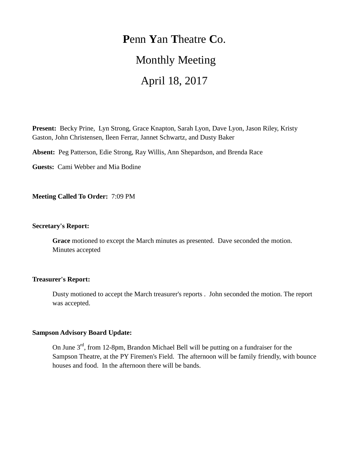# **P**enn **Y**an **T**heatre **C**o. Monthly Meeting April 18, 2017

**Present:** Becky Prine, Lyn Strong, Grace Knapton, Sarah Lyon, Dave Lyon, Jason Riley, Kristy Gaston, John Christensen, Ileen Ferrar, Jannet Schwartz, and Dusty Baker

**Absent:** Peg Patterson, Edie Strong, Ray Willis, Ann Shepardson, and Brenda Race

**Guests:** Cami Webber and Mia Bodine

**Meeting Called To Order:** 7:09 PM

#### **Secretary's Report:**

**Grace** motioned to except the March minutes as presented. Dave seconded the motion. Minutes accepted

## **Treasurer's Report:**

Dusty motioned to accept the March treasurer's reports . John seconded the motion. The report was accepted.

### **Sampson Advisory Board Update:**

On June 3<sup>rd</sup>, from 12-8pm, Brandon Michael Bell will be putting on a fundraiser for the Sampson Theatre, at the PY Firemen's Field. The afternoon will be family friendly, with bounce houses and food. In the afternoon there will be bands.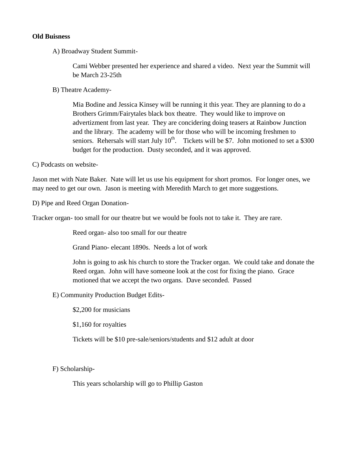#### **Old Buisness**

A) Broadway Student Summit-

Cami Webber presented her experience and shared a video. Next year the Summit will be March 23-25th

B) Theatre Academy-

Mia Bodine and Jessica Kinsey will be running it this year. They are planning to do a Brothers Grimm/Fairytales black box theatre. They would like to improve on advertizment from last year. They are concidering doing teasers at Rainbow Junction and the library. The academy will be for those who will be incoming freshmen to seniors. Rehersals will start July  $10^{th}$ . Tickets will be \$7. John motioned to set a \$300 budget for the production. Dusty seconded, and it was approved.

C) Podcasts on website-

Jason met with Nate Baker. Nate will let us use his equipment for short promos. For longer ones, we may need to get our own. Jason is meeting with Meredith March to get more suggestions.

D) Pipe and Reed Organ Donation-

Tracker organ- too small for our theatre but we would be fools not to take it. They are rare.

Reed organ- also too small for our theatre

Grand Piano- elecant 1890s. Needs a lot of work

John is going to ask his church to store the Tracker organ. We could take and donate the Reed organ. John will have someone look at the cost for fixing the piano. Grace motioned that we accept the two organs. Dave seconded. Passed

E) Community Production Budget Edits-

\$2,200 for musicians

\$1,160 for royalties

Tickets will be \$10 pre-sale/seniors/students and \$12 adult at door

F) Scholarship-

This years scholarship will go to Phillip Gaston